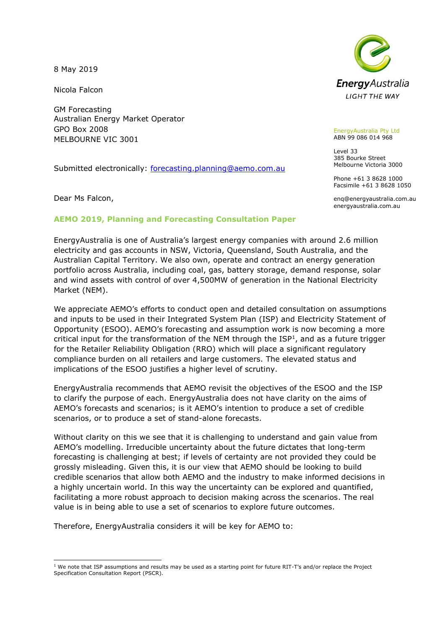8 May 2019

Nicola Falcon

GM Forecasting Australian Energy Market Operator GPO Box 2008 MELBOURNE VIC 3001

Submitted electronically: [forecasting.planning@aemo.com.au](mailto:forecasting.planning@aemo.com.au)

Dear Ms Falcon,



EnergyAustralia Pty Ltd ABN 99 086 014 968

Level 33 385 Bourke Street Melbourne Victoria 3000

Phone +61 3 8628 1000 Facsimile +61 3 8628 1050

enq@energyaustralia.com.au energyaustralia.com.au

## **AEMO 2019, Planning and Forecasting Consultation Paper**

EnergyAustralia is one of Australia's largest energy companies with around 2.6 million electricity and gas accounts in NSW, Victoria, Queensland, South Australia, and the Australian Capital Territory. We also own, operate and contract an energy generation portfolio across Australia, including coal, gas, battery storage, demand response, solar and wind assets with control of over 4,500MW of generation in the National Electricity Market (NEM).

We appreciate AEMO's efforts to conduct open and detailed consultation on assumptions and inputs to be used in their Integrated System Plan (ISP) and Electricity Statement of Opportunity (ESOO). AEMO's forecasting and assumption work is now becoming a more critical input for the transformation of the NEM through the  $ISP<sup>1</sup>$ , and as a future trigger for the Retailer Reliability Obligation (RRO) which will place a significant regulatory compliance burden on all retailers and large customers. The elevated status and implications of the ESOO justifies a higher level of scrutiny.

EnergyAustralia recommends that AEMO revisit the objectives of the ESOO and the ISP to clarify the purpose of each. EnergyAustralia does not have clarity on the aims of AEMO's forecasts and scenarios; is it AEMO's intention to produce a set of credible scenarios, or to produce a set of stand-alone forecasts.

Without clarity on this we see that it is challenging to understand and gain value from AEMO's modelling. Irreducible uncertainty about the future dictates that long-term forecasting is challenging at best; if levels of certainty are not provided they could be grossly misleading. Given this, it is our view that AEMO should be looking to build credible scenarios that allow both AEMO and the industry to make informed decisions in a highly uncertain world. In this way the uncertainty can be explored and quantified, facilitating a more robust approach to decision making across the scenarios. The real value is in being able to use a set of scenarios to explore future outcomes.

Therefore, EnergyAustralia considers it will be key for AEMO to:

<sup>-</sup> $1$  We note that ISP assumptions and results may be used as a starting point for future RIT-T's and/or replace the Project Specification Consultation Report (PSCR).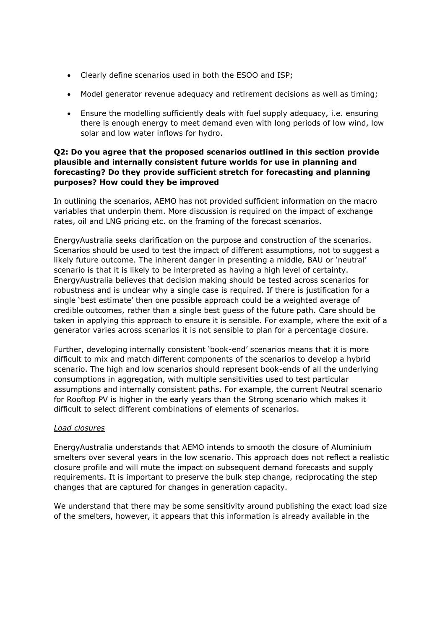- Clearly define scenarios used in both the ESOO and ISP;
- Model generator revenue adequacy and retirement decisions as well as timing;
- Ensure the modelling sufficiently deals with fuel supply adequacy, i.e. ensuring there is enough energy to meet demand even with long periods of low wind, low solar and low water inflows for hydro.

# **Q2: Do you agree that the proposed scenarios outlined in this section provide plausible and internally consistent future worlds for use in planning and forecasting? Do they provide sufficient stretch for forecasting and planning purposes? How could they be improved**

In outlining the scenarios, AEMO has not provided sufficient information on the macro variables that underpin them. More discussion is required on the impact of exchange rates, oil and LNG pricing etc. on the framing of the forecast scenarios.

EnergyAustralia seeks clarification on the purpose and construction of the scenarios. Scenarios should be used to test the impact of different assumptions, not to suggest a likely future outcome. The inherent danger in presenting a middle, BAU or 'neutral' scenario is that it is likely to be interpreted as having a high level of certainty. EnergyAustralia believes that decision making should be tested across scenarios for robustness and is unclear why a single case is required. If there is justification for a single 'best estimate' then one possible approach could be a weighted average of credible outcomes, rather than a single best guess of the future path. Care should be taken in applying this approach to ensure it is sensible. For example, where the exit of a generator varies across scenarios it is not sensible to plan for a percentage closure.

Further, developing internally consistent 'book-end' scenarios means that it is more difficult to mix and match different components of the scenarios to develop a hybrid scenario. The high and low scenarios should represent book-ends of all the underlying consumptions in aggregation, with multiple sensitivities used to test particular assumptions and internally consistent paths. For example, the current Neutral scenario for Rooftop PV is higher in the early years than the Strong scenario which makes it difficult to select different combinations of elements of scenarios.

## *Load closures*

EnergyAustralia understands that AEMO intends to smooth the closure of Aluminium smelters over several years in the low scenario. This approach does not reflect a realistic closure profile and will mute the impact on subsequent demand forecasts and supply requirements. It is important to preserve the bulk step change, reciprocating the step changes that are captured for changes in generation capacity.

We understand that there may be some sensitivity around publishing the exact load size of the smelters, however, it appears that this information is already available in the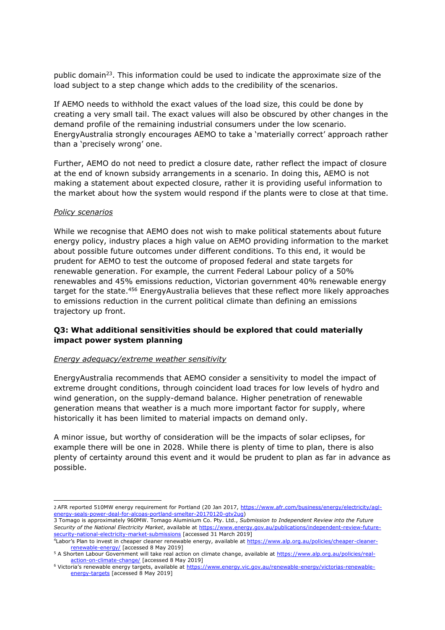public domain<sup>23</sup>. This information could be used to indicate the approximate size of the load subject to a step change which adds to the credibility of the scenarios.

If AEMO needs to withhold the exact values of the load size, this could be done by creating a very small tail. The exact values will also be obscured by other changes in the demand profile of the remaining industrial consumers under the low scenario. EnergyAustralia strongly encourages AEMO to take a 'materially correct' approach rather than a 'precisely wrong' one.

Further, AEMO do not need to predict a closure date, rather reflect the impact of closure at the end of known subsidy arrangements in a scenario. In doing this, AEMO is not making a statement about expected closure, rather it is providing useful information to the market about how the system would respond if the plants were to close at that time.

#### *Policy scenarios*

-

While we recognise that AEMO does not wish to make political statements about future energy policy, industry places a high value on AEMO providing information to the market about possible future outcomes under different conditions. To this end, it would be prudent for AEMO to test the outcome of proposed federal and state targets for renewable generation. For example, the current Federal Labour policy of a 50% renewables and 45% emissions reduction, Victorian government 40% renewable energy target for the state.<sup>456</sup> EnergyAustralia believes that these reflect more likely approaches to emissions reduction in the current political climate than defining an emissions trajectory up front.

## **Q3: What additional sensitivities should be explored that could materially impact power system planning**

#### *Energy adequacy/extreme weather sensitivity*

EnergyAustralia recommends that AEMO consider a sensitivity to model the impact of extreme drought conditions, through coincident load traces for low levels of hydro and wind generation, on the supply-demand balance. Higher penetration of renewable generation means that weather is a much more important factor for supply, where historically it has been limited to material impacts on demand only.

A minor issue, but worthy of consideration will be the impacts of solar eclipses, for example there will be one in 2028. While there is plenty of time to plan, there is also plenty of certainty around this event and it would be prudent to plan as far in advance as possible.

<sup>2</sup> AFR reported 510MW energy requirement for Portland (20 Jan 2017, [https://www.afr.com/business/energy/electricity/agl](https://www.afr.com/business/energy/electricity/agl-energy-seals-power-deal-for-alcoas-portland-smelter-20170120-gtv2ug)[energy-seals-power-deal-for-alcoas-portland-smelter-20170120-gtv2ug\)](https://www.afr.com/business/energy/electricity/agl-energy-seals-power-deal-for-alcoas-portland-smelter-20170120-gtv2ug)

<sup>3</sup> Tomago is approximately 960MW. Tomago Aluminium Co. Pty. Ltd., *Submission to Independent Review into the Future Security of the National Electricity Market*, available at [https://www.energy.gov.au/publications/independent-review-future](https://www.energy.gov.au/publications/independent-review-future-security-national-electricity-market-submissions)[security-national-electricity-market-submissions](https://www.energy.gov.au/publications/independent-review-future-security-national-electricity-market-submissions) [accessed 31 March 2019]

<sup>4</sup>Labor's Plan to invest in cheaper cleaner renewable energy, available at [https://www.alp.org.au/policies/cheaper-cleaner](https://www.alp.org.au/policies/cheaper-cleaner-renewable-energy/)[renewable-energy/](https://www.alp.org.au/policies/cheaper-cleaner-renewable-energy/) [accessed 8 May 2019]

<sup>&</sup>lt;sup>5</sup> A Shorten Labour Government will take real action on climate change, available at [https://www.alp.org.au/policies/real](https://www.alp.org.au/policies/real-action-on-climate-change/)[action-on-climate-change/](https://www.alp.org.au/policies/real-action-on-climate-change/) [accessed 8 May 2019]

<sup>6</sup> Victoria's renewable energy targets, available at [https://www.energy.vic.gov.au/renewable-energy/victorias-renewable](https://www.energy.vic.gov.au/renewable-energy/victorias-renewable-energy-targets)[energy-targets](https://www.energy.vic.gov.au/renewable-energy/victorias-renewable-energy-targets) [accessed 8 May 2019]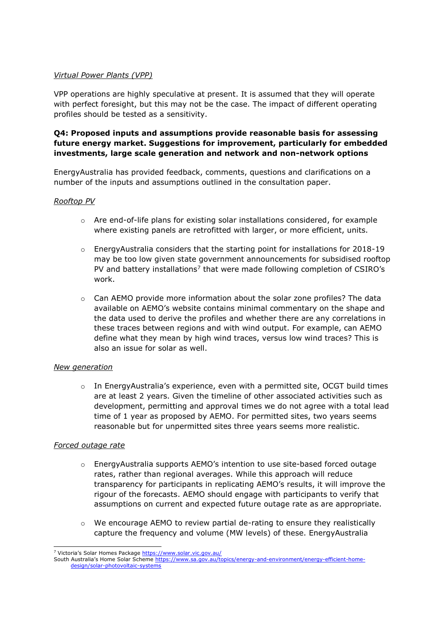## *Virtual Power Plants (VPP)*

VPP operations are highly speculative at present. It is assumed that they will operate with perfect foresight, but this may not be the case. The impact of different operating profiles should be tested as a sensitivity.

# **Q4: Proposed inputs and assumptions provide reasonable basis for assessing future energy market. Suggestions for improvement, particularly for embedded investments, large scale generation and network and non-network options**

EnergyAustralia has provided feedback, comments, questions and clarifications on a number of the inputs and assumptions outlined in the consultation paper.

## *Rooftop PV*

- $\circ$  Are end-of-life plans for existing solar installations considered, for example where existing panels are retrofitted with larger, or more efficient, units.
- $\circ$  EnergyAustralia considers that the starting point for installations for 2018-19 may be too low given state government announcements for subsidised rooftop PV and battery installations<sup>7</sup> that were made following completion of CSIRO's work.
- $\circ$  Can AEMO provide more information about the solar zone profiles? The data available on AEMO's website contains minimal commentary on the shape and the data used to derive the profiles and whether there are any correlations in these traces between regions and with wind output. For example, can AEMO define what they mean by high wind traces, versus low wind traces? This is also an issue for solar as well.

## *New generation*

 $\circ$  In EnergyAustralia's experience, even with a permitted site, OCGT build times are at least 2 years. Given the timeline of other associated activities such as development, permitting and approval times we do not agree with a total lead time of 1 year as proposed by AEMO. For permitted sites, two years seems reasonable but for unpermitted sites three years seems more realistic.

## *Forced outage rate*

- $\circ$  EnergyAustralia supports AEMO's intention to use site-based forced outage rates, rather than regional averages. While this approach will reduce transparency for participants in replicating AEMO's results, it will improve the rigour of the forecasts. AEMO should engage with participants to verify that assumptions on current and expected future outage rate as are appropriate.
- $\circ$  We encourage AEMO to review partial de-rating to ensure they realistically capture the frequency and volume (MW levels) of these. EnergyAustralia

<sup>7</sup> Victoria's Solar Homes Package <https://www.solar.vic.gov.au/>

South Australia's Home Solar Scheme [https://www.sa.gov.au/topics/energy-and-environment/energy-efficient-home](https://www.sa.gov.au/topics/energy-and-environment/energy-efficient-home-design/solar-photovoltaic-systems)[design/solar-photovoltaic-systems](https://www.sa.gov.au/topics/energy-and-environment/energy-efficient-home-design/solar-photovoltaic-systems)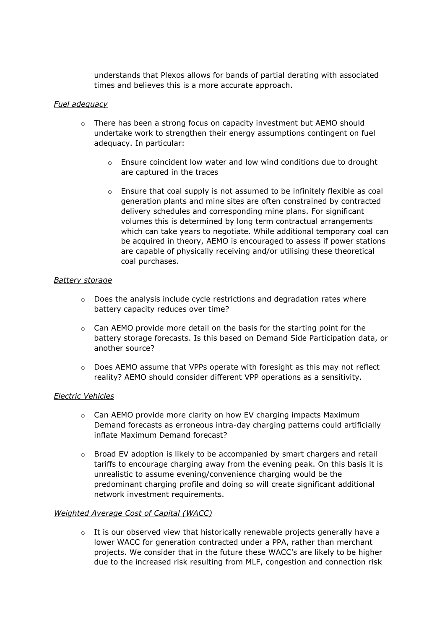understands that Plexos allows for bands of partial derating with associated times and believes this is a more accurate approach.

### *Fuel adequacy*

- $\circ$  There has been a strong focus on capacity investment but AEMO should undertake work to strengthen their energy assumptions contingent on fuel adequacy. In particular:
	- o Ensure coincident low water and low wind conditions due to drought are captured in the traces
	- o Ensure that coal supply is not assumed to be infinitely flexible as coal generation plants and mine sites are often constrained by contracted delivery schedules and corresponding mine plans. For significant volumes this is determined by long term contractual arrangements which can take years to negotiate. While additional temporary coal can be acquired in theory, AEMO is encouraged to assess if power stations are capable of physically receiving and/or utilising these theoretical coal purchases.

## *Battery storage*

- $\circ$  Does the analysis include cycle restrictions and degradation rates where battery capacity reduces over time?
- $\circ$  Can AEMO provide more detail on the basis for the starting point for the battery storage forecasts. Is this based on Demand Side Participation data, or another source?
- $\circ$  Does AEMO assume that VPPs operate with foresight as this may not reflect reality? AEMO should consider different VPP operations as a sensitivity.

### *Electric Vehicles*

- $\circ$  Can AEMO provide more clarity on how EV charging impacts Maximum Demand forecasts as erroneous intra-day charging patterns could artificially inflate Maximum Demand forecast?
- o Broad EV adoption is likely to be accompanied by smart chargers and retail tariffs to encourage charging away from the evening peak. On this basis it is unrealistic to assume evening/convenience charging would be the predominant charging profile and doing so will create significant additional network investment requirements.

### *Weighted Average Cost of Capital (WACC)*

 $\circ$  It is our observed view that historically renewable projects generally have a lower WACC for generation contracted under a PPA, rather than merchant projects. We consider that in the future these WACC's are likely to be higher due to the increased risk resulting from MLF, congestion and connection risk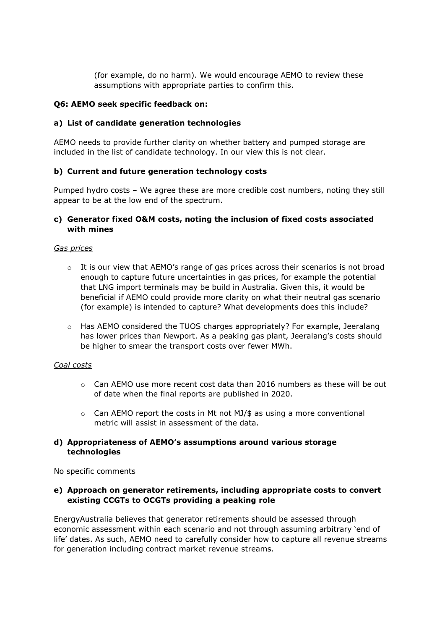(for example, do no harm). We would encourage AEMO to review these assumptions with appropriate parties to confirm this.

## **Q6: AEMO seek specific feedback on:**

## **a) List of candidate generation technologies**

AEMO needs to provide further clarity on whether battery and pumped storage are included in the list of candidate technology. In our view this is not clear.

## **b) Current and future generation technology costs**

Pumped hydro costs – We agree these are more credible cost numbers, noting they still appear to be at the low end of the spectrum.

## **c) Generator fixed O&M costs, noting the inclusion of fixed costs associated with mines**

### *Gas prices*

- $\circ$  It is our view that AEMO's range of gas prices across their scenarios is not broad enough to capture future uncertainties in gas prices, for example the potential that LNG import terminals may be build in Australia. Given this, it would be beneficial if AEMO could provide more clarity on what their neutral gas scenario (for example) is intended to capture? What developments does this include?
- o Has AEMO considered the TUOS charges appropriately? For example, Jeeralang has lower prices than Newport. As a peaking gas plant, Jeeralang's costs should be higher to smear the transport costs over fewer MWh.

### *Coal costs*

- $\circ$  Can AEMO use more recent cost data than 2016 numbers as these will be out of date when the final reports are published in 2020.
- $\circ$  Can AEMO report the costs in Mt not MJ/\$ as using a more conventional metric will assist in assessment of the data.

## **d) Appropriateness of AEMO's assumptions around various storage technologies**

No specific comments

### **e) Approach on generator retirements, including appropriate costs to convert existing CCGTs to OCGTs providing a peaking role**

EnergyAustralia believes that generator retirements should be assessed through economic assessment within each scenario and not through assuming arbitrary 'end of life' dates. As such, AEMO need to carefully consider how to capture all revenue streams for generation including contract market revenue streams.